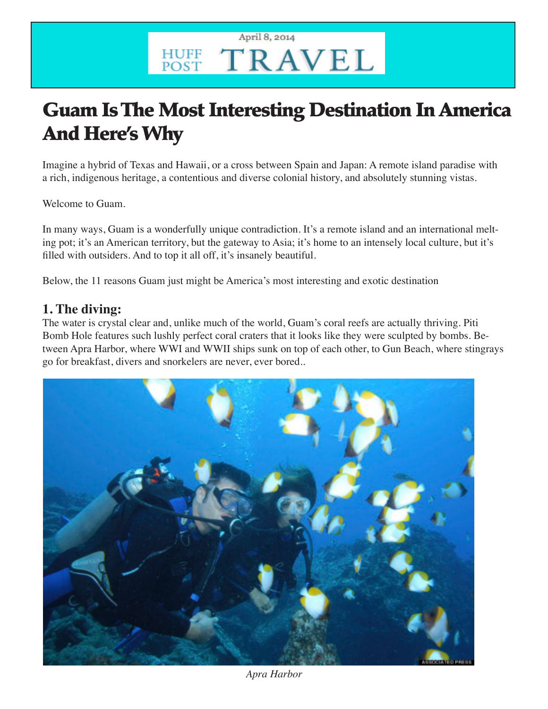# April 8, 2014

# **FOST TRAVEL**

# Guam Is The Most Interesting Destination In America And Here's Why

Imagine a hybrid of Texas and Hawaii, or a cross between Spain and Japan: A remote island paradise with a rich, indigenous heritage, a contentious and diverse colonial history, and absolutely stunning vistas.

Welcome to Guam.

In many ways, Guam is a wonderfully unique contradiction. It's a remote island and an international melting pot; it's an American territory, but the gateway to Asia; it's home to an intensely local culture, but it's filled with outsiders. And to top it all off, it's insanely beautiful.

Below, the 11 reasons Guam just might be America's most interesting and exotic destination

#### **1. The diving:**

The water is crystal clear and, unlike much of the world, Guam's coral reefs are actually thriving. Piti Bomb Hole features such lushly perfect coral craters that it looks like they were sculpted by bombs. Between Apra Harbor, where WWI and WWII ships sunk on top of each other, to Gun Beach, where stingrays go for breakfast, divers and snorkelers are never, ever bored..



*Apra Harbor*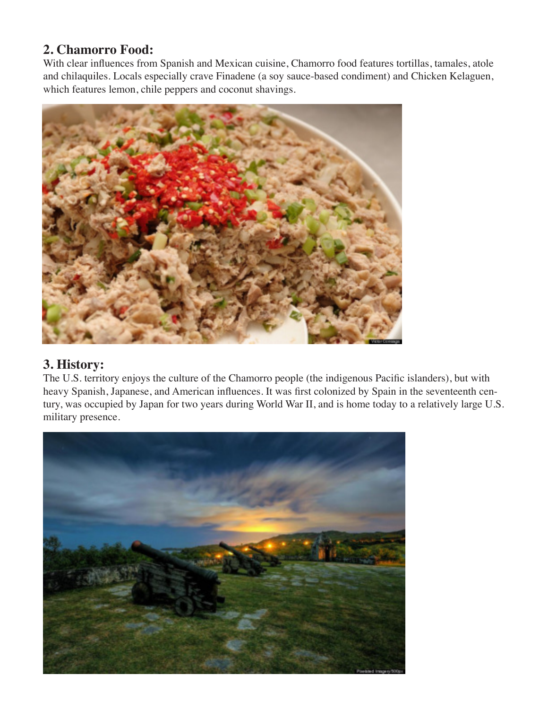#### **2. Chamorro Food:**

With clear influences from Spanish and Mexican cuisine, Chamorro food features tortillas, tamales, atole and chilaquiles. Locals especially crave Finadene (a soy sauce-based condiment) and Chicken Kelaguen, which features lemon, chile peppers and coconut shavings.



#### **3. History:**

The U.S. territory enjoys the culture of the Chamorro people (the indigenous Pacific islanders), but with heavy Spanish, Japanese, and American influences. It was first colonized by Spain in the seventeenth century, was occupied by Japan for two years during World War II, and is home today to a relatively large U.S. military presence.

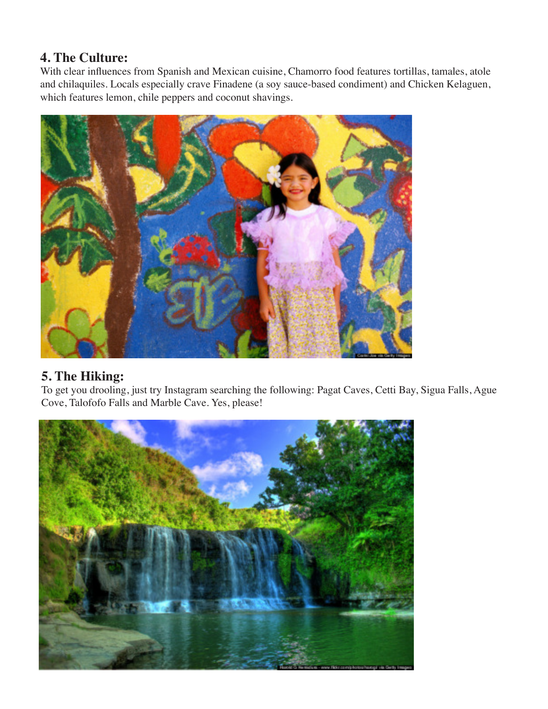### **4. The Culture:**

With clear influences from Spanish and Mexican cuisine, Chamorro food features tortillas, tamales, atole and chilaquiles. Locals especially crave Finadene (a soy sauce-based condiment) and Chicken Kelaguen, which features lemon, chile peppers and coconut shavings.



#### **5. The Hiking:**

To get you drooling, just try Instagram searching the following: Pagat Caves, Cetti Bay, Sigua Falls, Ague Cove, Talofofo Falls and Marble Cave. Yes, please!

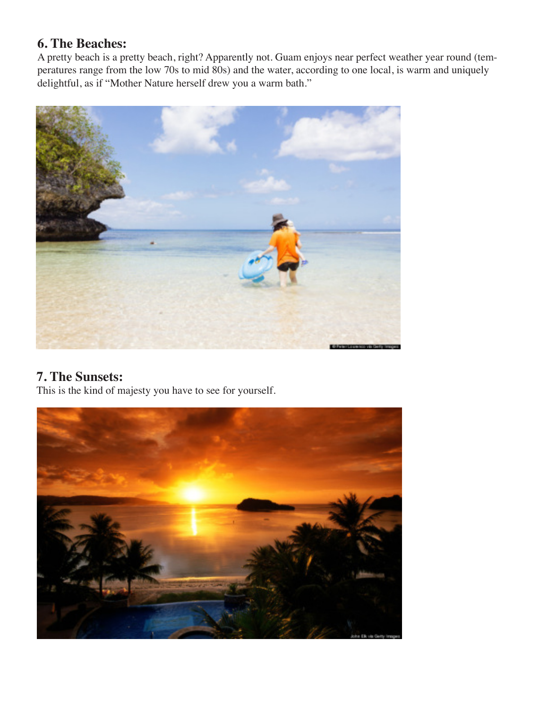#### **6. The Beaches:**

A pretty beach is a pretty beach, right? Apparently not. Guam enjoys near perfect weather year round (temperatures range from the low 70s to mid 80s) and the water, according to one local, is warm and uniquely delightful, as if "Mother Nature herself drew you a warm bath."



#### **7. The Sunsets:**

This is the kind of majesty you have to see for yourself.

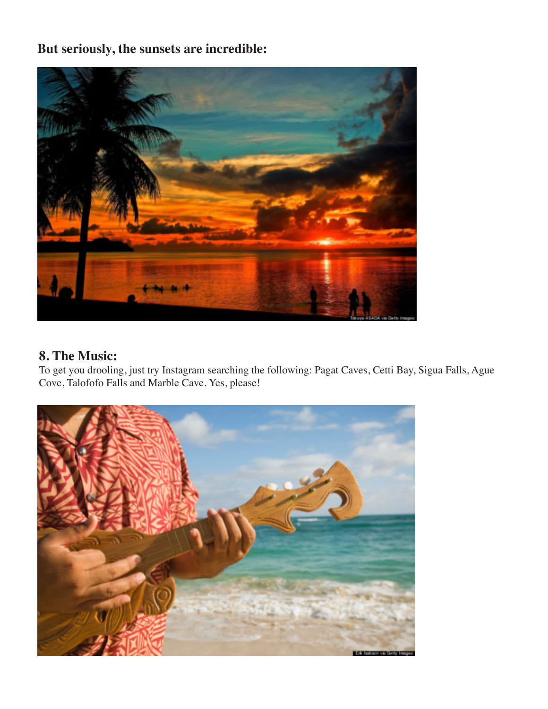# **But seriously, the sunsets are incredible:**



## **8. The Music:**

To get you drooling, just try Instagram searching the following: Pagat Caves, Cetti Bay, Sigua Falls, Ague Cove, Talofofo Falls and Marble Cave. Yes, please!

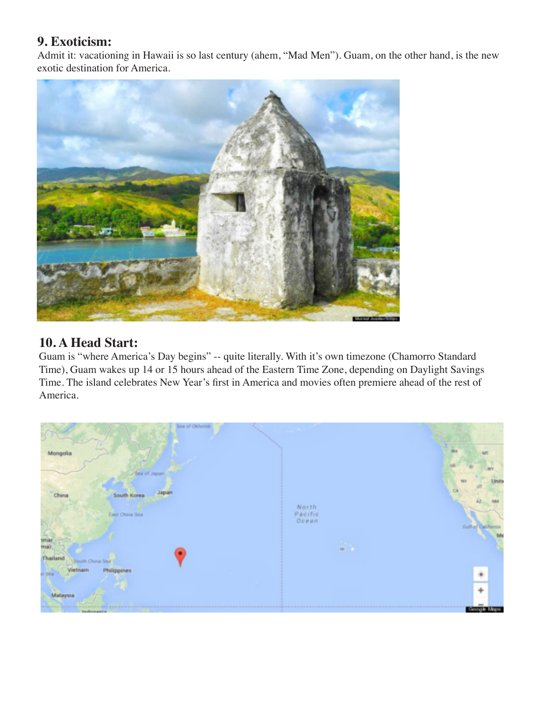#### **9. Exoticism:**

Admit it: vacationing in Hawaii is so last century (ahem, "Mad Men"). Guam, on the other hand, is the new exotic destination for America.



#### **10. A Head Start:**

Guam is "where America's Day begins" -- quite literally. With it's own timezone (Chamorro Standard Time), Guam wakes up 14 or 15 hours ahead of the Eastern Time Zone, depending on Daylight Savings Time. The island celebrates New Year's first in America and movies often premiere ahead of the rest of America.